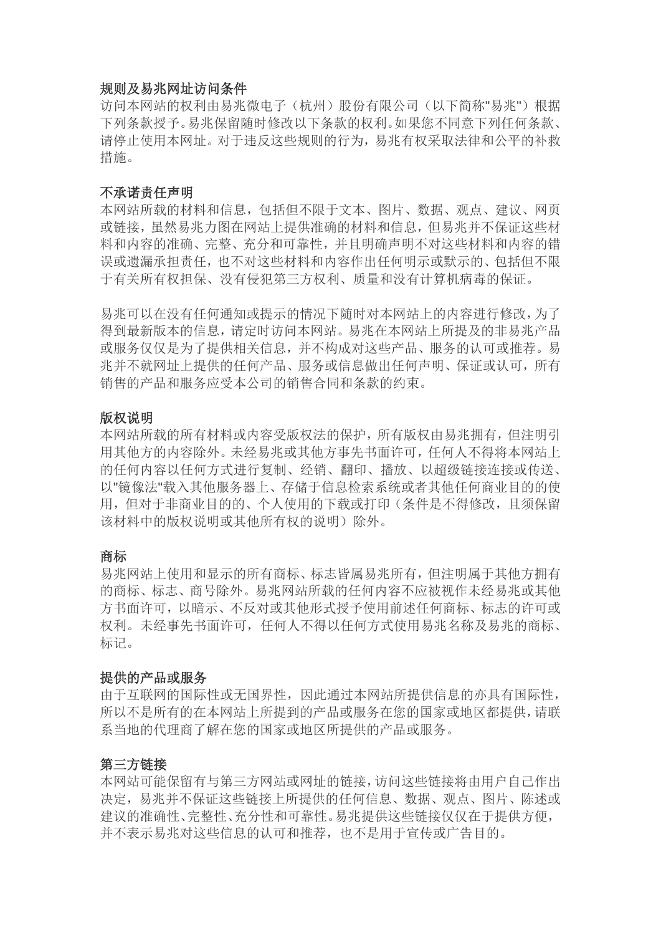#### 规则及易兆网址访问条件

访问本网站的权利由易兆微电子(杭州)股份有限公司(以下简称"易兆")根据 下列条款授予。易兆保留随时修改以下条款的权利。如果您不同意下列任何条款、 请停止使用本网址。对于违反这些规则的行为,易兆有权采取法律和公平的补救 措施。

#### 不承诺责任声明

本网站所载的材料和信息,包括但不限于文本、图片、数据、观点、建议、网页 或链接,虽然易兆力图在网站上提供准确的材料和信息,但易兆并不保证这些材 料和内容的准确、完整、充分和可靠性,并且明确声明不对这些材料和内容的错 误或遗漏承担责任,也不对这些材料和内容作出任何明示或默示的、包括但不限 于有关所有权担保、没有侵犯第三方权利、质量和没有计算机病毒的保证。

易兆可以在没有任何通知或提示的情况下随时对本网站上的内容进行修改,为了 得到最新版本的信息,请定时访问本网站。易兆在本网站上所提及的非易兆产品 或服务仅仅是为了提供相关信息,并不构成对这些产品、服务的认可或推荐。易 兆并不就网址上提供的任何产品、服务或信息做出任何声明、保证或认可,所有 销售的产品和服务应受本公司的销售合同和条款的约束。

#### 版权说明

本网站所载的所有材料或内容受版权法的保护,所有版权由易兆拥有,但注明引 用其他方的内容除外。未经易兆或其他方事先书面许可,任何人不得将本网站上 的任何内容以任何方式进行复制、经销、翻印、播放、以超级链接连接或传送、 以"镜像法"载入其他服务器上、存储于信息检索系统或者其他任何商业目的的使 用,但对于非商业目的的、个人使用的下载或打印(条件是不得修改,且须保留 该材料中的版权说明或其他所有权的说明)除外。

#### 商标

易兆网站上使用和显示的所有商标、标志皆属易兆所有,但注明属于其他方拥有 的商标、标志、商号除外。易兆网站所载的任何内容不应被视作未经易兆或其他 方书面许可,以暗示、不反对或其他形式授予使用前述任何商标、标志的许可或 权利。未经事先书面许可,任何人不得以任何方式使用易兆名称及易兆的商标、 标记。

#### 提供的产品或服务

由于互联网的国际性或无国界性,因此通过本网站所提供信息的亦具有国际性, 所以不是所有的在本网站上所提到的产品或服务在您的国家或地区都提供,请联 系当地的代理商了解在您的国家或地区所提供的产品或服务。

#### 第三方链接

本网站可能保留有与第三方网站或网址的链接,访问这些链接将由用户自己作出 决定,易兆并不保证这些链接上所提供的任何信息、数据、观点、图片、陈述或 建议的准确性、完整性、充分性和可靠性。易兆提供这些链接仅仅在于提供方便, 并不表示易兆对这些信息的认可和推荐,也不是用于宣传或广告目的。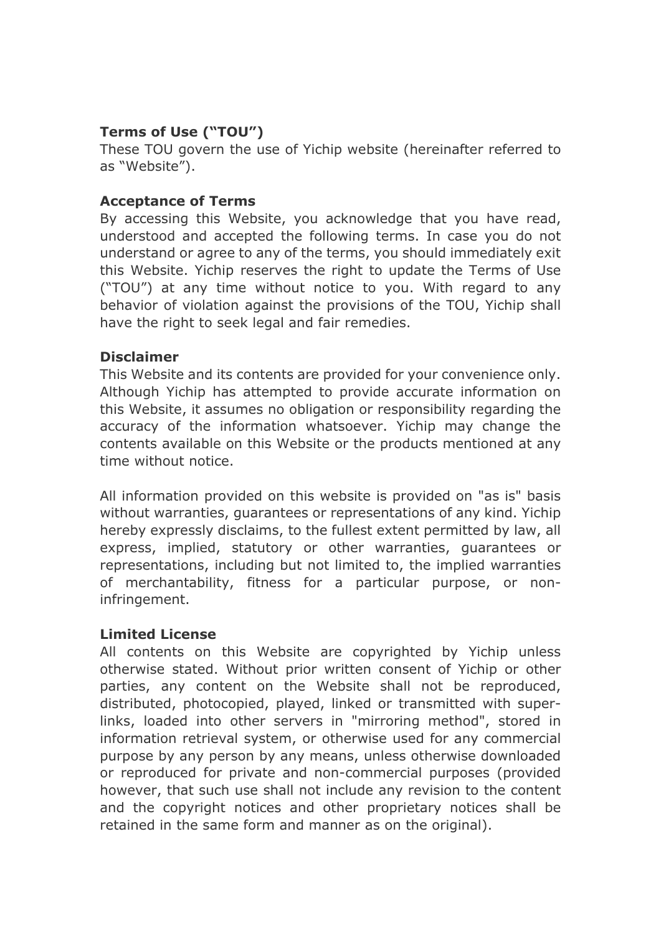# **Terms of Use ("TOU")**

These TOU govern the use of Yichip website (hereinafter referred to as "Website").

# **Acceptance of Terms**

By accessing this Website, you acknowledge that you have read, understood and accepted the following terms. In case you do not understand or agree to any of the terms, you should immediately exit this Website. Yichip reserves the right to update the Terms of Use ("TOU") at any time without notice to you. With regard to any behavior of violation against the provisions of the TOU, Yichip shall have the right to seek legal and fair remedies.

### **Disclaimer**

This Website and its contents are provided for your convenience only. Although Yichip has attempted to provide accurate information on this Website, it assumes no obligation or responsibility regarding the accuracy of the information whatsoever. Yichip may change the contents available on this Website or the products mentioned at any time without notice.

All information provided on this website is provided on "as is" basis without warranties, guarantees or representations of any kind. Yichip hereby expressly disclaims, to the fullest extent permitted by law, all express, implied, statutory or other warranties, guarantees or representations, including but not limited to, the implied warranties of merchantability, fitness for a particular purpose, or noninfringement.

### **Limited License**

All contents on this Website are copyrighted by Yichip unless otherwise stated. Without prior written consent of Yichip or other parties, any content on the Website shall not be reproduced, distributed, photocopied, played, linked or transmitted with superlinks, loaded into other servers in "mirroring method", stored in information retrieval system, or otherwise used for any commercial purpose by any person by any means, unless otherwise downloaded or reproduced for private and non-commercial purposes (provided however, that such use shall not include any revision to the content and the copyright notices and other proprietary notices shall be retained in the same form and manner as on the original).